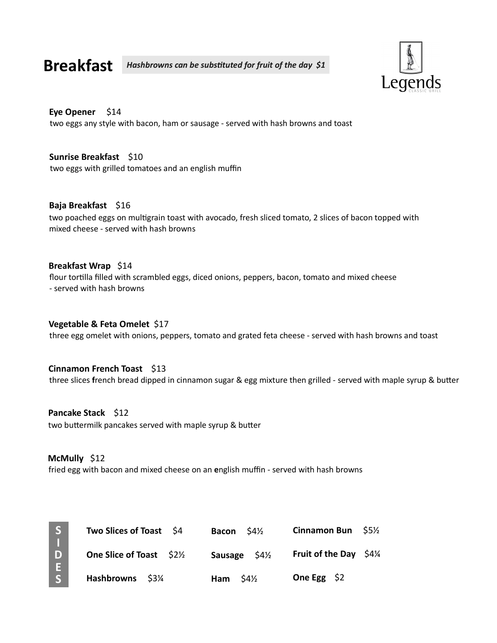Breakfast Hashbrowns can be substituted for fruit of the day \$1



#### Eye Opener \$14

two eggs any style with bacon, ham or sausage - served with hash browns and toast

two eggs with grilled tomatoes and an english muffin Sunrise Breakfast \$10

**Baja Breakfast** \$16<br>two poached eggs on multigrain toast with avocado, fresh sliced tomato, 2 slices of bacon topped with<br>mixed cheese - served with hash browns<br>flore tortilla filled with scrambled eggs, diced onions, pep two poached eggs on multigrain toast with avocado, fresh sliced tomato, 2 slices of bacon topped with mixed cheese - served with hash browns Baja Breakfast \$16

flour tortilla filled with scrambled eggs, diced onions, peppers, bacon, tomato and mixed cheese - served with hash browns Breakfast Wrap \$14

three egg omelet with onions, peppers, tomato and grated feta cheese - served with hash browns and toast Vegetable & Feta Omelet \$17

#### Cinnamon French Toast \$13

#### Pancake Stack \$12

two buttermilk pancakes served with maple syrup & butter

#### McMully \$12

fried egg with bacon and mixed cheese on an english muffin - served with hash browns

| S  | Two Slices of Toast \$4        | $54\frac{1}{2}$<br><b>Bacon</b> | <b>Cinnamon Bun</b><br><b>S5½</b> |
|----|--------------------------------|---------------------------------|-----------------------------------|
| D. | <b>One Slice of Toast</b> \$2% | $54\frac{1}{2}$<br>Sausage      | Fruit of the Day $$4\frac{1}{4}$  |
|    | <b>Hashbrowns</b><br>\$3¼      | $54\frac{1}{2}$<br>Ham          | One Egg $$2$                      |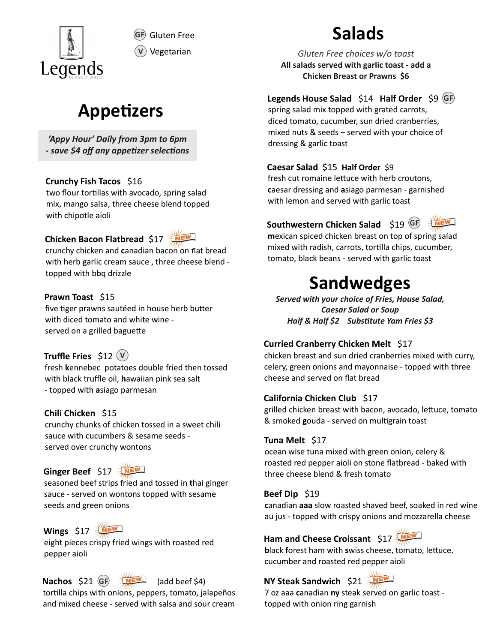

GF Gluten Free

# **Appetizers**

'Appy Hour' Daily from 3pm to 6pm - save \$4 off any appetizer selections

mix, mango salsa, three cheese blend topped with chipotle aioli

## Chicken Bacon Flatbread \$17

with herb garlic cream sauce , three cheese blend topped with bbq drizzle with chipote aioli<br>
Southwestern Chicken Salad<br>
chicken Bacon Flathered \$17<br>
couthwestern Chicken Salad<br>
chicken and canadian bacon on flat bread<br>
tomato, black beans - served with<br>
topped with bond drizzle<br>
Frawn Toast \$ **CONSERV CONSERV** Controllar with her two float trumaning electrocomic many constant and a single parameter of the cheese blend topped with lemon and served with constant and served with constant controllar trunchy chicke two flour tortillas with avocado, spring salad<br>
mix, mango salsa, three cheese blend topped<br>
with lemon and served with hero and served with chipotle aioli<br>
couthwestern Chicken Bacon Flatbread \$17<br>
mexican spiced chicken

### Prawn Toast \$15

five tiger prawns sautéed in house herb butter with diced tomato and white wine served on a grilled baguette

### Truffle Fries  $$12<sub>(V)</sub>$

crunchy chunks of chicken tossed in a sweet chili sauce with cucumbers & sesame seeds served over crunchy wontons

### Ginger Beef \$17



seasoned beef strips fried and tossed in thai ginger **Prawn Toast** \$15<br>
served with your<br>
since the prawns saute din house herb butter<br>
with diced tomato and white wine<br>
served on a grilled baguette<br> **Curried Cranberry (**<br> **Curried Cranberry Cruffle Fries** \$12 ( $\bullet$ )<br> **Curr** seeds and green onions

## Wings \$17

eight pieces crispy fried wings with roasted red<br>black forest ham with swiss cheese, tomato, lettuce, pepper aioli

# Nachos \$21 (GF)

tortilla chips with onions, peppers, tomato, jalapeños alla 7 oz aaa canadian n **Nachos** \$21 **GF**  $\frac{1}{2}$  (add beef \$4) **NY Steak Sandwich** \$21  $\frac{1}{2}$  (and beef \$4) **NY Steak Sandwich** \$21  $\frac{1}{2}$  (b) tortilla chips with onions, peppers, tomato, jalapeños 7 oz aaa canadian **ny** steak served on

# Salads

Gluten Free choices w/o toast All salads served with garlic toast - add a V Vegetarian

### $GF$

spring salad mix topped with grated carrots, diced tomato, cucumber, sun dried cranberries, mixed nuts & seeds – served with your choice of dressing & garlic toast **Salads**<br>
Gluten Free choices w/o toast<br>
All salads served with garlic toast - add a<br>
Chicken Breast or Prawns \$6<br>
Legends House Salad \$14 Half Order \$9 GF<br>
spring salad mix topped with grated carrots,<br>
diced tomato, cucum **Salads**<br> **S** *Gluten Free choices w/o toast*<br>
All salads served with garlic toast - add a<br>
chicken Breast or Prawns \$6<br> **Legends House Salad** \$14 Half Order \$9 **GB**<br>
spring salad mix topped with grated carrots,<br>
diced to *Gluten Free choices w/o toast*<br>
All salads served with garlic toast - add a<br>
chicken Breast or Prawns \$6<br>
Legends House Salad \$14 Half Order \$9 *GF*<br>
spring salad mix topped with grated carrots,<br>
diced tomato, cucumber, **Salads**<br> *Gluten Free choices w/o toast*<br>
All salads served with garlic toast - add a<br>
chicken Breast or Prawns \$6<br>
Legends House Salad \$14 Half Order \$9 GF<br>
spring salad mix topped with grated carrots,<br>
diced tomato, cu **Salads**<br>
Saluten Free choices w/o toast<br>
ads served with garlic toast - add a<br>
Chicken Breast or Prawns \$6<br>
House Salad \$14 Half Order \$9 GF<br>
ad mix topped with grated carrots,<br>
hato, cucumber, sun dried cranberries,<br>
ts GD Gluten Free Salad S1<br>
Crunchy Fish Tacos \$16<br>
Crunchy Fish Tacos \$16<br>
Crunchy Fish Tacos \$16<br>
Crunchy Fish Tacos \$16<br>
Crunchy Fish Tacos \$16<br>
Crunchy Fish Tacos \$16<br>
Crunchy Fish Tacos \$16<br>
Crunchy Fish Tacos \$16<br>
Crunc

#### Caesar Salad \$15 Half Order \$9

fresh cut romaine lettuce with herb croutons, with lemon and served with garlic toast two flour tortillas with avocado, spring salad caesar dressing and asiago parmesan - garnished

### $GF \rightarrow \overline{NEW}$

mexican spiced chicken breast on top of spring salad tomato, black beans - served with garlic toast crunchy chicken and canadian bacon on flat bread mixed with radish, carrots, tortilla chips, cucumber,

Served with your choice of Fries, House Salad, Caesar Salad or Soup Exampled with bod different space of the served with your choice of Fries, House Salad,<br>Frawn Toast \$15 Served with your choice of Fries, House Salad,<br>Gaesar Salad or Soup

### Curried Cranberry Chicken Melt \$17

tomato, cucumber, sun dried cranberries,<br>
d nuts & seeds – served with your choice of<br>
ing & garlic toast<br>
ar Salad \$15 Half Order \$9<br>
cut romaine lettuce with herb croutons,<br>
r dressing and asiago parmesan – garnished<br>
em fresh kennebec potatoes double fried then tossed elery, green onions and mayonnaise - topped with three  $\mathsf{v})$  chic Conserved while *Coesar Salad or Soup*<br>
Coesar Salad or Soup<br>
Half & Half \$2 Substitute Yam Fries \$3<br>
Curried Cranberry Chicken Melt \$17<br>
colectricken breast and sun dried cranberries mixed with curry,<br>
celery, green onion Exercise to the best and sun dried cranberries mixed with curry,<br>celery, green onions and mayonnaise - topped with three<br>cheese and served on flat bread<br>**California Chicken Club** \$17<br>grilled chicken **club** \$17<br>grilled chic mixed with radish, carrots, cortina chips, cocumber,<br>
tomato, black beans - served with garlic toast<br>
Sand We of Fries, House Salad,<br>
Caesar Salad or Soup<br>
Half & Half \$2 Substitute Yam Fries \$3<br>
Curried Cranberry Chicken Comato, black beatls - served with garlic toast<br>
Sand or soup<br>
Served with your choice of Fries, House Salad,<br>
Half & Half 52 Substitute Yam Fries 53<br>
Curried Cranberry Chicken Melt 517<br>
chicken breast and sun dried cranbe **Sandwedges**<br>
Served with your choice of Fries, House Salad,<br>
flag Radi Solution Constants and Solution Fries 53<br>
Curried Cranberry Chicken Melt \$17<br>
Curried Cranberry Chicken Melt \$17<br>
chicken breast and sun dried cranbe **Southwestern Chicken Salad**  $\leq 19$  GB<br>
mexican spiced chicken breast on top of spring salad<br>
mixed with radish, carrots, tortilla chips, cucumber,<br>
tomato, black beans - served with garlic toast<br> **Sand We des**<br>
Served chicken breast and sun dried cranberries mixed with curry, **Caesar Salad** \$15 Half Order \$9<br>
fresh cut romaine lettuce with herb croutons,<br>
caesar dressing and asiago parmesan - garnished<br>
with lemon and served with garlic toast<br> **Southwestern Chicken Salad** \$19  $\times$ <br> **Southweste** 

# California Chicken Club \$17

grilled chicken breast with bacon, avocado, lettuce, tomato

#### Tuna Melt \$17 and the state of the state of

**California Chicken Club** \$17<br>grilled chicken breast with bacon, avocado, lettuce, tomato<br>& smoked gouda - served on multigrain toast<br>**Tuna Melt** \$17<br>ocean wise tuna mixed with green onion, celery &<br>roasted red pepper aio

#### Beef Dip \$19

au jus - topped with crispy onions and mozzarella cheese

## Ham and Cheese Croissant \$17

cucumber and roasted red pepper aioli

# NY Steak Sandwich \$21

topped with onion ring garnish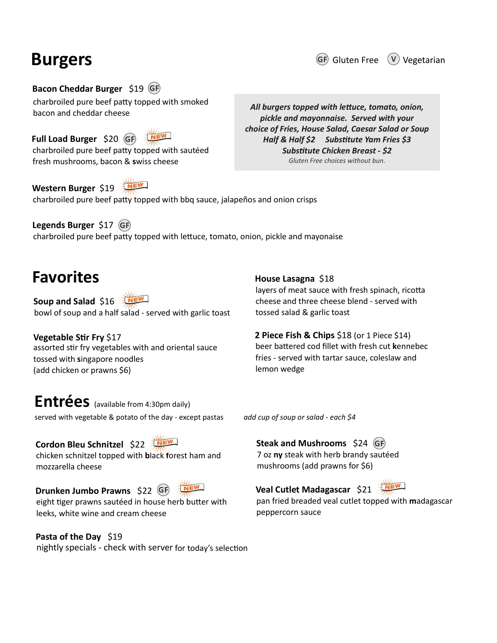# Burgers

GF Gluten Free  $(\nabla)$  Vegetarian

charbroiled pure beef paƩy topped with smoked bacon and cheddar cheese GF) and the contract of the contract of the contract of the contract of the contract of the contract of the contract of the contract of the contract of the contract of the contract of the contract of the contract of the co

charbroiled pure beef patty topped with sautéed  $GF \rightarrow M$ 

charbroiled pure beef patty topped with bbq sauce, jalapeños and onion crisps Western Burger \$19

charbroiled pure beef patty topped with lettuce, tomato, onion, pickle and mayonaise Legends Burger \$17 (GF) GF) and the state of the state of the state of the state of the state of the state of the state of the state of the state of the state of the state of the state of the state of the state of the state of the state of the st

# Favorites

bowl of soup and a half salad - served with garlic toast tossed salad & garlic toast

assorted stir fry vegetables with and oriental sauce beer battered cod fillet with fresh cut kennebec tossed with singapore noodles (add chicken or prawns \$6) Vegetable Stir Fry \$17 **EXECT THES**<br> **EXECT THEST**<br> **EXECT THEST**<br> **EXECT THEST**<br> **EXECT THEST**<br> **EXECT THEST**<br> **EXECT THEST**<br> **EXECT THEST**<br> **EXECT THEST**<br> **EXECT THEST**<br> **EXECT THEST**<br> **EXECT THEST**<br> **EXECT THEST**<br> **EXECT THESE**<br> **EXECT THESE Favorites**<br> **Example 3**<br> **Example 3**<br> **Example 3**<br> **Example 3**<br> **Example 3**<br> **Example 3**<br> **Example 3**<br> **Example 3**<br> **Example 3**<br> **EXAMPLE 222**<br> **EXAMPLE 222**<br> **EXAMPLE 222**<br> **EXAMPLE 3**<br> **EXAMPLE 3**<br> **EXAMPLE 3**<br> **EXAMPL** 

Entrées (available from 4:30pm daily) served with vegetable & potato of the day - except pastas and cup of soup or salad - each  $$4$ 

mozzarella cheese nightly specials - check with server for today's selection<br>
Discussed with simple propor nonodies<br>
and chicken or prawns 56)<br>
and chicken or prawns 56)<br>
and chicken or prawns 56)<br>
lemon wedge<br>
Embers (available from 4:30pm

eight tiger prawns sautéed in house herb butter with leeks, white wine and cream cheese Drunken Jumbo Prawns \$22 (GF)

Pasta of the Day \$19

layers of meat sauce with fresh spinach, ricotta House Lasagna \$18

beer the state of the Substitute Chicken Breast - \$2<br>
Gluten Free choices without bun.<br>
and onion crisps<br>
and onion crisps<br>
Abouse Lasagna \$18<br>
House Lasagna \$18<br>
layers of meat sauce with fresh spinach, ricotta<br>
cheese an fries - served with tartar sauce, coleslaw and lemon wedge **2 Piece Fish & Chips**  $$18$  (or 1 Piece  $$14$ ) layers of meat sauce with fresh spinach, ricotta<br>cheese and three cheese blend - served with<br>tossed salad & garlic toast<br>**2 Piece Fish & Chips** \$18 (or 1 Piece \$14)<br>beer battered cod fillet with fresh cut kennebec<br>fries - **House Lasagna \$18**<br>ayers of meat sauce with fresh spinach, ricotta<br>cheese and three cheese blend - served with<br>tossed salad & garlic toast<br>**2 Piece Fish & Chips \$18** (or 1 Piece \$14)<br>beer battered cod fillet with fresh cu House Lasagna \$18<br>
Nayers of meat sauce with fresh spinach, ricotta<br>
cheese and three cheese blend - served with<br>
tossed salad & garlic toast<br>
2 Piece Fish & Chips \$18 (or 1 Piece \$14)<br>
beer battered cod fillet with fresh **House Lasagna \$18**<br>
House Lasagna \$18<br>
Idelyers of meat sauce with fresh spinach, ricotta<br>
cheese and three cheese blend - served with<br> **2 Piece Fish & Chips \$18** (or 1 Piece \$14)<br> **2 Piece Fish & Chips \$18** (or 1 Piece

Veal Cutlet Madagascar \$21

pan fried breaded veal cutlet topped with madagascar peppercorn sauce

**EXECTS**<br> **EXECTS**<br> **EXECTS**<br> **EXECTS**<br> **EXECTS**<br> **EXECTS**<br> **EXECTS**<br> **EXECTS**<br> **EXECTS**<br> **EXECTS**<br> **EXECTS**<br> **EXECTS**<br> **EXECTS**<br> **EXECTS**<br> **EXECTS**<br> **EXECTS**<br> **EXECTS**<br> **EXECTS**<br> **EXECTS**<br> **EXECTS**<br> **EXECTS**<br> **EXECTS**<br> **E** Burgers<br>
Bacon Cheddar Burger \$19 GP<br>
Charbroiled pure beef patty topped with smoked<br>
bacon and cheddar chees<br>
Full Load Burger \$20 GP<br>
Full Load Burger \$20 GP<br>
All burgers topped with lettuce, tomate<br>
pickle and mayonnais **Burgers**<br> **Example 18 Conceduar Burger \$19 GP**<br>
charbroiled pure beef patty topped with smoked<br>
bacon and cheddar cheese<br>
Full Load Burger \$20 GP<br>
Full Load Burger \$20 GP<br>
Full Load Burger \$20 GP<br>
Full Load Burger \$20 GP<br> All burgers topped with lettuce, tomato, onion, pickle and mayonnaise. Served with your choice of Fries, House Salad, Caesar Salad or Soup GF Gluten Free  $V$  Vegetarian<br>
burgers topped with lettuce, tomato, onion,<br>
bickle and mayonnaise. Served with your<br>
re of Fries, House Salad, Caesar Salad or Soup<br>
Half & Half \$2 Substitute Yam Fries \$3<br>
Substitute Chick Substitute Chicken Breast - \$2 Gluten Free choices without bun. Il burgers topped with lettuce, tomato, onion,<br>pickle and mayonnaise. Served with your<br>oice of Fries, House Salad, Caesar Salad or Soup<br>Half & Half \$2 Substitute Yam Fries \$3<br>Substitute Chicken Breast - \$2<br>Gluten Free choi Characteristics and the distance and the check of Fries. Hull Load Burger \$20 GB Character and cheddar cheese<br>
Full Load Burger \$20 GB Character and may be chose of Fries. Hull Load Surger \$17 GB Character Character of Fri